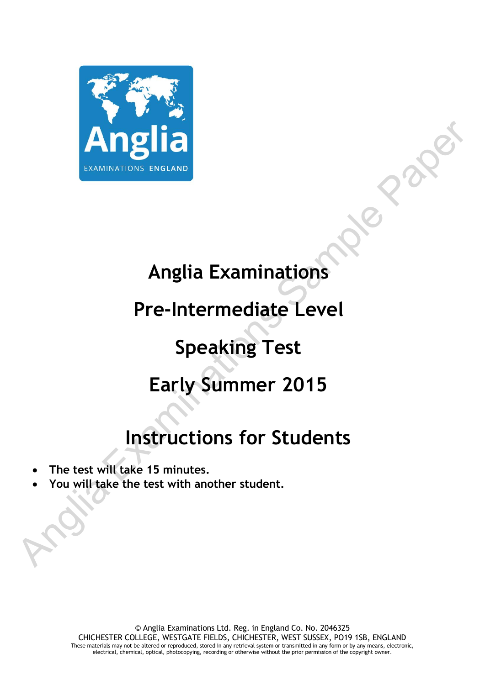

## **Anglia Examinations**

### **Pre-Intermediate Level**

## **Speaking Test**

### **Early Summer 2015**

# **Instructions for Students**

- **The test will take 15 minutes.**
- **You will take the test with another student.**